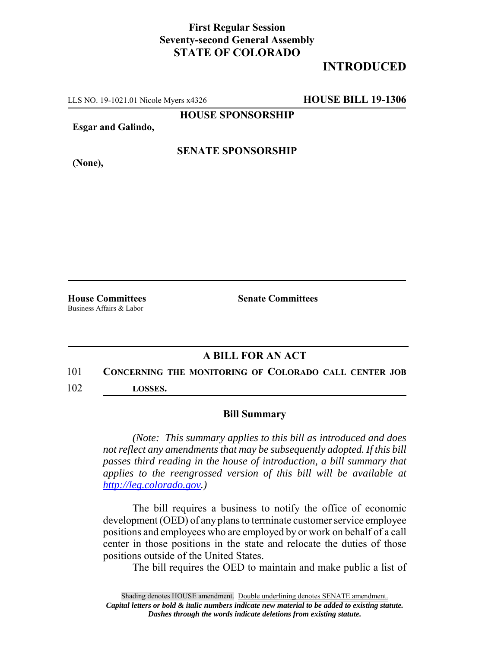### **First Regular Session Seventy-second General Assembly STATE OF COLORADO**

## **INTRODUCED**

LLS NO. 19-1021.01 Nicole Myers x4326 **HOUSE BILL 19-1306**

**HOUSE SPONSORSHIP**

**Esgar and Galindo,**

**(None),**

#### **SENATE SPONSORSHIP**

Business Affairs & Labor

**House Committees Senate Committees** 

### **A BILL FOR AN ACT**

# 101 **CONCERNING THE MONITORING OF COLORADO CALL CENTER JOB**

102 **LOSSES.**

#### **Bill Summary**

*(Note: This summary applies to this bill as introduced and does not reflect any amendments that may be subsequently adopted. If this bill passes third reading in the house of introduction, a bill summary that applies to the reengrossed version of this bill will be available at http://leg.colorado.gov.)*

The bill requires a business to notify the office of economic development (OED) of any plans to terminate customer service employee positions and employees who are employed by or work on behalf of a call center in those positions in the state and relocate the duties of those positions outside of the United States.

The bill requires the OED to maintain and make public a list of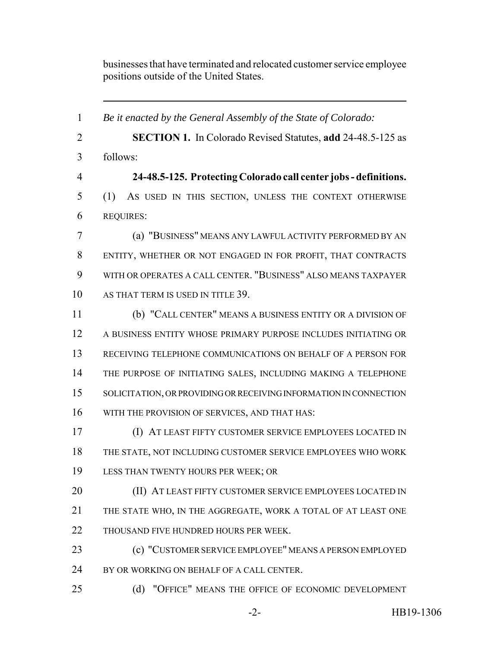businesses that have terminated and relocated customer service employee positions outside of the United States.

 *Be it enacted by the General Assembly of the State of Colorado:* **SECTION 1.** In Colorado Revised Statutes, **add** 24-48.5-125 as follows: **24-48.5-125. Protecting Colorado call center jobs - definitions.** (1) AS USED IN THIS SECTION, UNLESS THE CONTEXT OTHERWISE REQUIRES: (a) "BUSINESS" MEANS ANY LAWFUL ACTIVITY PERFORMED BY AN ENTITY, WHETHER OR NOT ENGAGED IN FOR PROFIT, THAT CONTRACTS WITH OR OPERATES A CALL CENTER. "BUSINESS" ALSO MEANS TAXPAYER AS THAT TERM IS USED IN TITLE 39. (b) "CALL CENTER" MEANS A BUSINESS ENTITY OR A DIVISION OF A BUSINESS ENTITY WHOSE PRIMARY PURPOSE INCLUDES INITIATING OR RECEIVING TELEPHONE COMMUNICATIONS ON BEHALF OF A PERSON FOR THE PURPOSE OF INITIATING SALES, INCLUDING MAKING A TELEPHONE SOLICITATION, OR PROVIDING OR RECEIVING INFORMATION IN CONNECTION WITH THE PROVISION OF SERVICES, AND THAT HAS: (I) AT LEAST FIFTY CUSTOMER SERVICE EMPLOYEES LOCATED IN THE STATE, NOT INCLUDING CUSTOMER SERVICE EMPLOYEES WHO WORK LESS THAN TWENTY HOURS PER WEEK; OR **(II) AT LEAST FIFTY CUSTOMER SERVICE EMPLOYEES LOCATED IN**  THE STATE WHO, IN THE AGGREGATE, WORK A TOTAL OF AT LEAST ONE THOUSAND FIVE HUNDRED HOURS PER WEEK. (c) "CUSTOMER SERVICE EMPLOYEE" MEANS A PERSON EMPLOYED 24 BY OR WORKING ON BEHALF OF A CALL CENTER. (d) "OFFICE" MEANS THE OFFICE OF ECONOMIC DEVELOPMENT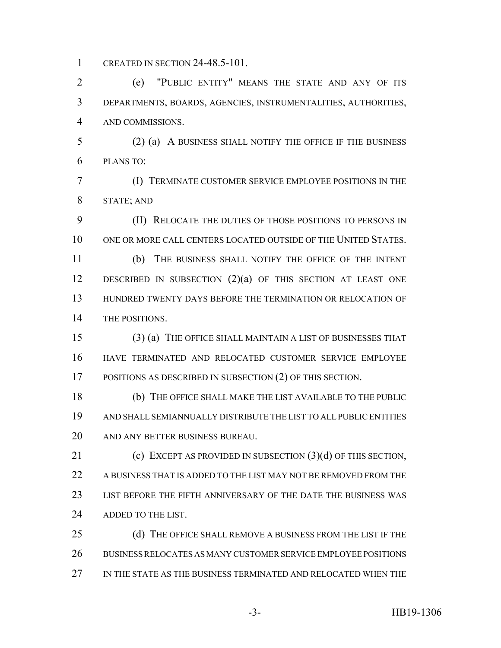CREATED IN SECTION 24-48.5-101.

 (e) "PUBLIC ENTITY" MEANS THE STATE AND ANY OF ITS DEPARTMENTS, BOARDS, AGENCIES, INSTRUMENTALITIES, AUTHORITIES, AND COMMISSIONS.

 (2) (a) A BUSINESS SHALL NOTIFY THE OFFICE IF THE BUSINESS PLANS TO:

 (I) TERMINATE CUSTOMER SERVICE EMPLOYEE POSITIONS IN THE STATE; AND

 (II) RELOCATE THE DUTIES OF THOSE POSITIONS TO PERSONS IN ONE OR MORE CALL CENTERS LOCATED OUTSIDE OF THE UNITED STATES.

 (b) THE BUSINESS SHALL NOTIFY THE OFFICE OF THE INTENT 12 DESCRIBED IN SUBSECTION (2)(a) OF THIS SECTION AT LEAST ONE HUNDRED TWENTY DAYS BEFORE THE TERMINATION OR RELOCATION OF THE POSITIONS.

 (3) (a) THE OFFICE SHALL MAINTAIN A LIST OF BUSINESSES THAT HAVE TERMINATED AND RELOCATED CUSTOMER SERVICE EMPLOYEE POSITIONS AS DESCRIBED IN SUBSECTION (2) OF THIS SECTION.

 (b) THE OFFICE SHALL MAKE THE LIST AVAILABLE TO THE PUBLIC AND SHALL SEMIANNUALLY DISTRIBUTE THE LIST TO ALL PUBLIC ENTITIES AND ANY BETTER BUSINESS BUREAU.

21 (c) EXCEPT AS PROVIDED IN SUBSECTION (3)(d) OF THIS SECTION. A BUSINESS THAT IS ADDED TO THE LIST MAY NOT BE REMOVED FROM THE LIST BEFORE THE FIFTH ANNIVERSARY OF THE DATE THE BUSINESS WAS ADDED TO THE LIST.

25 (d) THE OFFICE SHALL REMOVE A BUSINESS FROM THE LIST IF THE BUSINESS RELOCATES AS MANY CUSTOMER SERVICE EMPLOYEE POSITIONS IN THE STATE AS THE BUSINESS TERMINATED AND RELOCATED WHEN THE